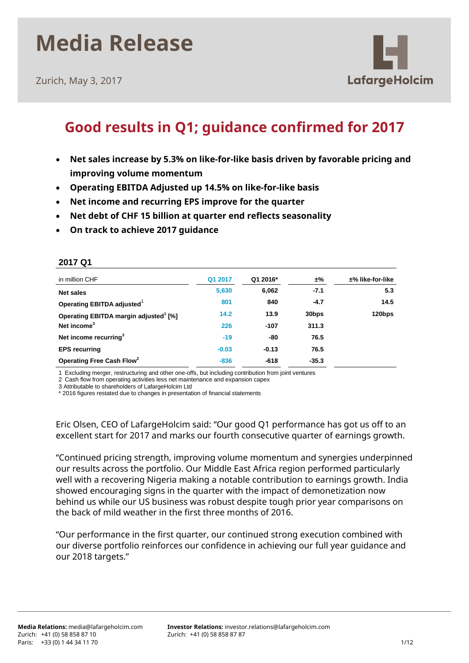Zurich, May 3, 2017

**2017 Q1**



### **Good results in Q1; guidance confirmed for 2017**

- **Net sales increase by 5.3% on like-for-like basis driven by favorable pricing and improving volume momentum**
- **Operating EBITDA Adjusted up 14.5% on like-for-like basis**
- **Net income and recurring EPS improve for the quarter**
- **Net debt of CHF 15 billion at quarter end reflects seasonality**
- **On track to achieve 2017 guidance**

| in million CHF                                    | Q1 2017 | Q1 2016* | ±%                | $±%$ like-for-like |
|---------------------------------------------------|---------|----------|-------------------|--------------------|
| <b>Net sales</b>                                  | 5,630   | 6,062    | $-7.1$            | 5.3                |
| Operating EBITDA adjusted <sup>1</sup>            | 801     | 840      | $-4.7$            | 14.5               |
| Operating EBITDA margin adjusted <sup>1</sup> [%] | 14.2    | 13.9     | 30 <sub>bps</sub> | 120bps             |
| Net income <sup>3</sup>                           | 226     | $-107$   | 311.3             |                    |
| Net income recurring <sup>3</sup>                 | $-19$   | -80      | 76.5              |                    |
| <b>EPS recurring</b>                              | $-0.03$ | $-0.13$  | 76.5              |                    |
| Operating Free Cash Flow <sup>2</sup>             | $-836$  | $-618$   | $-35.3$           |                    |

1 Excluding merger, restructuring and other one-offs, but including contribution from joint ventures

2 Cash flow from operating activities less net maintenance and expansion capex

3 Attributable to shareholders of LafargeHolcim Ltd

\* 2016 figures restated due to changes in presentation of financial statements

Eric Olsen, CEO of LafargeHolcim said: "Our good Q1 performance has got us off to an excellent start for 2017 and marks our fourth consecutive quarter of earnings growth.

"Continued pricing strength, improving volume momentum and synergies underpinned our results across the portfolio. Our Middle East Africa region performed particularly well with a recovering Nigeria making a notable contribution to earnings growth. India showed encouraging signs in the quarter with the impact of demonetization now behind us while our US business was robust despite tough prior year comparisons on the back of mild weather in the first three months of 2016.

"Our performance in the first quarter, our continued strong execution combined with our diverse portfolio reinforces our confidence in achieving our full year guidance and our 2018 targets."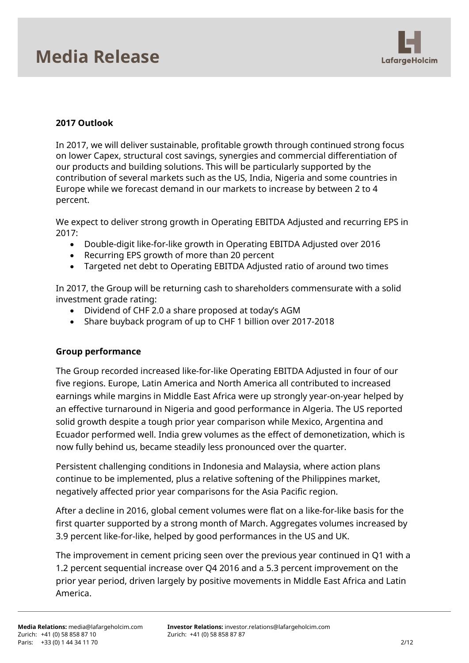

### **2017 Outlook**

In 2017, we will deliver sustainable, profitable growth through continued strong focus on lower Capex, structural cost savings, synergies and commercial differentiation of our products and building solutions. This will be particularly supported by the contribution of several markets such as the US, India, Nigeria and some countries in Europe while we forecast demand in our markets to increase by between 2 to 4 percent.

We expect to deliver strong growth in Operating EBITDA Adjusted and recurring EPS in 2017:

- Double-digit like-for-like growth in Operating EBITDA Adjusted over 2016
- Recurring EPS growth of more than 20 percent
- Targeted net debt to Operating EBITDA Adjusted ratio of around two times

In 2017, the Group will be returning cash to shareholders commensurate with a solid investment grade rating:

- Dividend of CHF 2.0 a share proposed at today's AGM
- Share buyback program of up to CHF 1 billion over 2017-2018

### **Group performance**

The Group recorded increased like-for-like Operating EBITDA Adjusted in four of our five regions. Europe, Latin America and North America all contributed to increased earnings while margins in Middle East Africa were up strongly year-on-year helped by an effective turnaround in Nigeria and good performance in Algeria. The US reported solid growth despite a tough prior year comparison while Mexico, Argentina and Ecuador performed well. India grew volumes as the effect of demonetization, which is now fully behind us, became steadily less pronounced over the quarter.

Persistent challenging conditions in Indonesia and Malaysia, where action plans continue to be implemented, plus a relative softening of the Philippines market, negatively affected prior year comparisons for the Asia Pacific region.

After a decline in 2016, global cement volumes were flat on a like-for-like basis for the first quarter supported by a strong month of March. Aggregates volumes increased by 3.9 percent like-for-like, helped by good performances in the US and UK.

The improvement in cement pricing seen over the previous year continued in Q1 with a 1.2 percent sequential increase over Q4 2016 and a 5.3 percent improvement on the prior year period, driven largely by positive movements in Middle East Africa and Latin America.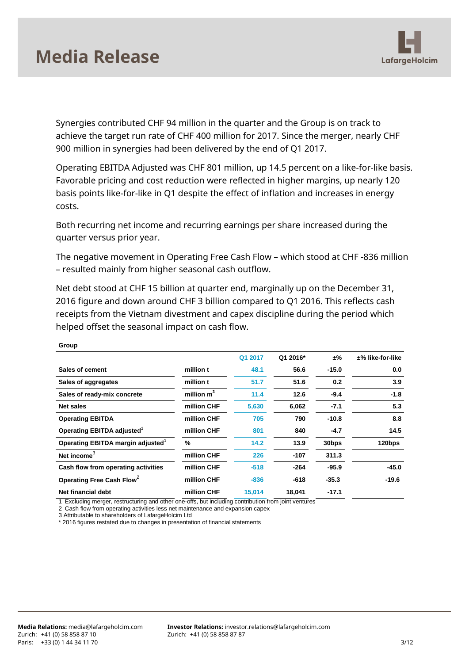

Synergies contributed CHF 94 million in the quarter and the Group is on track to achieve the target run rate of CHF 400 million for 2017. Since the merger, nearly CHF 900 million in synergies had been delivered by the end of Q1 2017.

Operating EBITDA Adjusted was CHF 801 million, up 14.5 percent on a like-for-like basis. Favorable pricing and cost reduction were reflected in higher margins, up nearly 120 basis points like-for-like in Q1 despite the effect of inflation and increases in energy costs.

Both recurring net income and recurring earnings per share increased during the quarter versus prior year.

The negative movement in Operating Free Cash Flow – which stood at CHF -836 million – resulted mainly from higher seasonal cash outflow.

Net debt stood at CHF 15 billion at quarter end, marginally up on the December 31, 2016 figure and down around CHF 3 billion compared to Q1 2016. This reflects cash receipts from the Vietnam divestment and capex discipline during the period which helped offset the seasonal impact on cash flow.

|                                               |              | Q1 2017 | Q1 2016* | ±%                | $±%$ like-for-like |
|-----------------------------------------------|--------------|---------|----------|-------------------|--------------------|
| Sales of cement                               | million t    | 48.1    | 56.6     | $-15.0$           | 0.0                |
| Sales of aggregates                           | million t    | 51.7    | 51.6     | 0.2               | 3.9                |
| Sales of ready-mix concrete                   | million $m3$ | 11.4    | 12.6     | $-9.4$            | $-1.8$             |
| Net sales                                     | million CHF  | 5,630   | 6,062    | $-7.1$            | 5.3                |
| <b>Operating EBITDA</b>                       | million CHF  | 705     | 790      | $-10.8$           | 8.8                |
| Operating EBITDA adjusted <sup>1</sup>        | million CHF  | 801     | 840      | $-4.7$            | 14.5               |
| Operating EBITDA margin adjusted <sup>1</sup> | %            | 14.2    | 13.9     | 30 <sub>bps</sub> | 120bps             |
| Net income                                    | million CHF  | 226     | $-107$   | 311.3             |                    |
| Cash flow from operating activities           | million CHF  | $-518$  | $-264$   | $-95.9$           | $-45.0$            |
| Operating Free Cash Flow <sup>2</sup>         | million CHF  | $-836$  | $-618$   | $-35.3$           | $-19.6$            |
| Net financial debt                            | million CHF  | 15,014  | 18,041   | $-17.1$           |                    |

**Group** 

1 Excluding merger, restructuring and other one-offs, but including contribution from joint ventures

2 Cash flow from operating activities less net maintenance and expansion capex

3 Attributable to shareholders of LafargeHolcim Ltd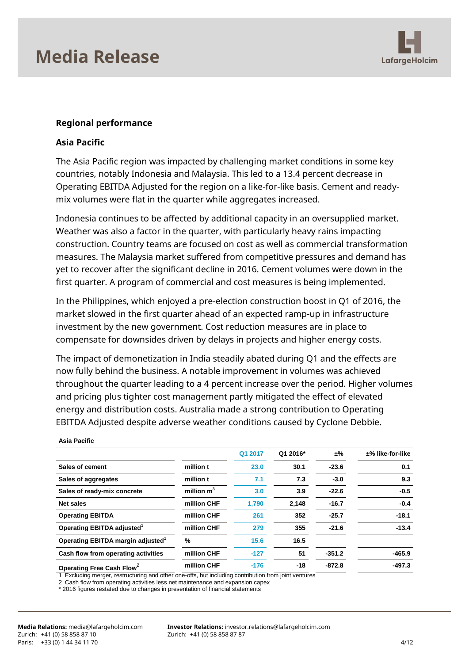

#### **Regional performance**

#### **Asia Pacific**

The Asia Pacific region was impacted by challenging market conditions in some key countries, notably Indonesia and Malaysia. This led to a 13.4 percent decrease in Operating EBITDA Adjusted for the region on a like-for-like basis. Cement and readymix volumes were flat in the quarter while aggregates increased.

Indonesia continues to be affected by additional capacity in an oversupplied market. Weather was also a factor in the quarter, with particularly heavy rains impacting construction. Country teams are focused on cost as well as commercial transformation measures. The Malaysia market suffered from competitive pressures and demand has yet to recover after the significant decline in 2016. Cement volumes were down in the first quarter. A program of commercial and cost measures is being implemented.

In the Philippines, which enjoyed a pre-election construction boost in Q1 of 2016, the market slowed in the first quarter ahead of an expected ramp-up in infrastructure investment by the new government. Cost reduction measures are in place to compensate for downsides driven by delays in projects and higher energy costs.

The impact of demonetization in India steadily abated during Q1 and the effects are now fully behind the business. A notable improvement in volumes was achieved throughout the quarter leading to a 4 percent increase over the period. Higher volumes and pricing plus tighter cost management partly mitigated the effect of elevated energy and distribution costs. Australia made a strong contribution to Operating EBITDA Adjusted despite adverse weather conditions caused by Cyclone Debbie.

|                                               |              | Q1 2017 | Q1 2016* | ±%       | $±%$ like-for-like |
|-----------------------------------------------|--------------|---------|----------|----------|--------------------|
| Sales of cement                               | million t    | 23.0    | 30.1     | $-23.6$  | 0.1                |
| Sales of aggregates                           | million t    | 7.1     | 7.3      | $-3.0$   | 9.3                |
| Sales of ready-mix concrete                   | million $m3$ | 3.0     | 3.9      | $-22.6$  | $-0.5$             |
| <b>Net sales</b>                              | million CHF  | 1.790   | 2,148    | $-16.7$  | $-0.4$             |
| <b>Operating EBITDA</b>                       | million CHF  | 261     | 352      | $-25.7$  | $-18.1$            |
| Operating EBITDA adjusted <sup>1</sup>        | million CHF  | 279     | 355      | $-21.6$  | $-13.4$            |
| Operating EBITDA margin adjusted <sup>1</sup> | %            | 15.6    | 16.5     |          |                    |
| Cash flow from operating activities           | million CHF  | $-127$  | 51       | $-351.2$ | $-465.9$           |
| Operating Free Cash Flow <sup>2</sup>         | million CHF  | $-176$  | $-18$    | $-872.8$ | $-497.3$           |

#### **Asia Pacific**

1 Excluding merger, restructuring and other one-offs, but including contribution from joint ventures

2 Cash flow from operating activities less net maintenance and expansion capex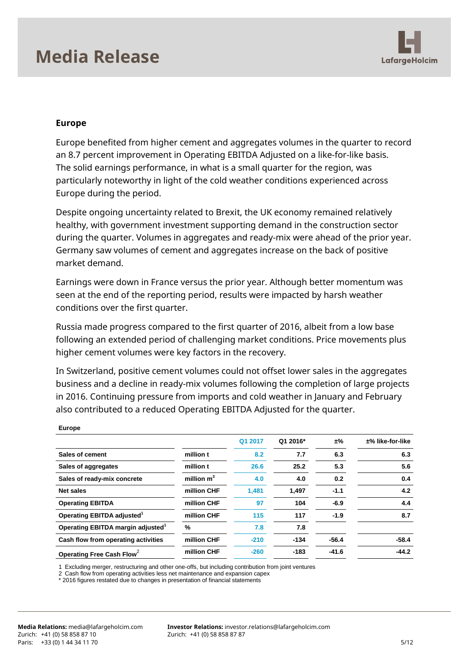

#### **Europe**

Europe benefited from higher cement and aggregates volumes in the quarter to record an 8.7 percent improvement in Operating EBITDA Adjusted on a like-for-like basis. The solid earnings performance, in what is a small quarter for the region, was particularly noteworthy in light of the cold weather conditions experienced across Europe during the period.

Despite ongoing uncertainty related to Brexit, the UK economy remained relatively healthy, with government investment supporting demand in the construction sector during the quarter. Volumes in aggregates and ready-mix were ahead of the prior year. Germany saw volumes of cement and aggregates increase on the back of positive market demand.

Earnings were down in France versus the prior year. Although better momentum was seen at the end of the reporting period, results were impacted by harsh weather conditions over the first quarter.

Russia made progress compared to the first quarter of 2016, albeit from a low base following an extended period of challenging market conditions. Price movements plus higher cement volumes were key factors in the recovery.

In Switzerland, positive cement volumes could not offset lower sales in the aggregates business and a decline in ready-mix volumes following the completion of large projects in 2016. Continuing pressure from imports and cold weather in January and February also contributed to a reduced Operating EBITDA Adjusted for the quarter.

|                                               |              | Q1 2017 | Q1 2016* | ±%      | $±%$ like-for-like |
|-----------------------------------------------|--------------|---------|----------|---------|--------------------|
| Sales of cement                               | million t    | 8.2     | 7.7      | 6.3     | 6.3                |
| Sales of aggregates                           | million t    | 26.6    | 25.2     | 5.3     | 5.6                |
| Sales of ready-mix concrete                   | million $m3$ | 4.0     | 4.0      | 0.2     | 0.4                |
| <b>Net sales</b>                              | million CHF  | 1.481   | 1.497    | $-1.1$  | 4.2                |
| <b>Operating EBITDA</b>                       | million CHF  | 97      | 104      | $-6.9$  | 4.4                |
| Operating EBITDA adjusted <sup>1</sup>        | million CHF  | 115     | 117      | $-1.9$  | 8.7                |
| Operating EBITDA margin adjusted <sup>1</sup> | %            | 7.8     | 7.8      |         |                    |
| Cash flow from operating activities           | million CHF  | $-210$  | $-134$   | $-56.4$ | $-58.4$            |
| Operating Free Cash Flow <sup>2</sup>         | million CHF  | $-260$  | $-183$   | $-41.6$ | $-44.2$            |

**Europe**

1 Excluding merger, restructuring and other one-offs, but including contribution from joint ventures

2 Cash flow from operating activities less net maintenance and expansion capex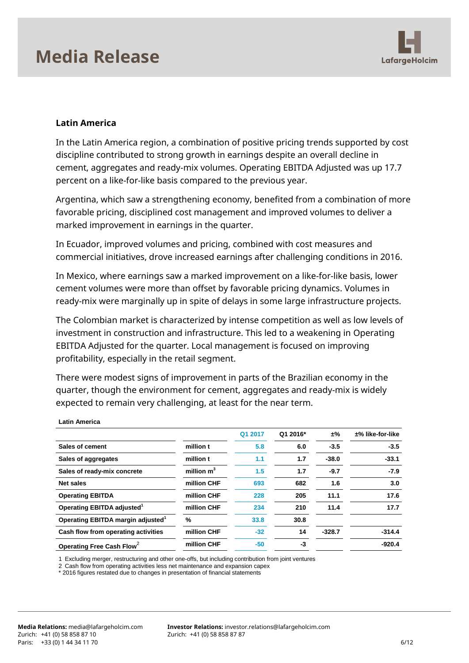

#### **Latin America**

In the Latin America region, a combination of positive pricing trends supported by cost discipline contributed to strong growth in earnings despite an overall decline in cement, aggregates and ready-mix volumes. Operating EBITDA Adjusted was up 17.7 percent on a like-for-like basis compared to the previous year.

Argentina, which saw a strengthening economy, benefited from a combination of more favorable pricing, disciplined cost management and improved volumes to deliver a marked improvement in earnings in the quarter.

In Ecuador, improved volumes and pricing, combined with cost measures and commercial initiatives, drove increased earnings after challenging conditions in 2016.

In Mexico, where earnings saw a marked improvement on a like-for-like basis, lower cement volumes were more than offset by favorable pricing dynamics. Volumes in ready-mix were marginally up in spite of delays in some large infrastructure projects.

The Colombian market is characterized by intense competition as well as low levels of investment in construction and infrastructure. This led to a weakening in Operating EBITDA Adjusted for the quarter. Local management is focused on improving profitability, especially in the retail segment.

There were modest signs of improvement in parts of the Brazilian economy in the quarter, though the environment for cement, aggregates and ready-mix is widely expected to remain very challenging, at least for the near term.

|                                               |              | Q1 2017 | Q1 2016* | ±%       | $±%$ like-for-like |
|-----------------------------------------------|--------------|---------|----------|----------|--------------------|
| Sales of cement                               | million t    | 5.8     | 6.0      | $-3.5$   | $-3.5$             |
| Sales of aggregates                           | million t    | 1.1     | 1.7      | $-38.0$  | $-33.1$            |
| Sales of ready-mix concrete                   | million $m3$ | 1.5     | 1.7      | $-9.7$   | $-7.9$             |
| <b>Net sales</b>                              | million CHF  | 693     | 682      | 1.6      | 3.0                |
| <b>Operating EBITDA</b>                       | million CHF  | 228     | 205      | 11.1     | 17.6               |
| Operating EBITDA adjusted <sup>1</sup>        | million CHF  | 234     | 210      | 11.4     | 17.7               |
| Operating EBITDA margin adjusted <sup>1</sup> | %            | 33.8    | 30.8     |          |                    |
| Cash flow from operating activities           | million CHF  | $-32$   | 14       | $-328.7$ | $-314.4$           |
| Operating Free Cash Flow                      | million CHF  | $-50$   | -3       |          | $-920.4$           |

**Latin America**

1 Excluding merger, restructuring and other one-offs, but including contribution from joint ventures

2 Cash flow from operating activities less net maintenance and expansion capex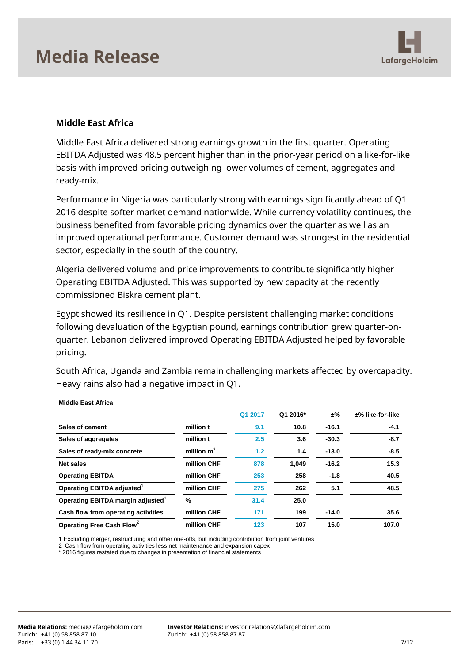

#### **Middle East Africa**

Middle East Africa delivered strong earnings growth in the first quarter. Operating EBITDA Adjusted was 48.5 percent higher than in the prior-year period on a like-for-like basis with improved pricing outweighing lower volumes of cement, aggregates and ready-mix.

Performance in Nigeria was particularly strong with earnings significantly ahead of Q1 2016 despite softer market demand nationwide. While currency volatility continues, the business benefited from favorable pricing dynamics over the quarter as well as an improved operational performance. Customer demand was strongest in the residential sector, especially in the south of the country.

Algeria delivered volume and price improvements to contribute significantly higher Operating EBITDA Adjusted. This was supported by new capacity at the recently commissioned Biskra cement plant.

Egypt showed its resilience in Q1. Despite persistent challenging market conditions following devaluation of the Egyptian pound, earnings contribution grew quarter-onquarter. Lebanon delivered improved Operating EBITDA Adjusted helped by favorable pricing.

South Africa, Uganda and Zambia remain challenging markets affected by overcapacity. Heavy rains also had a negative impact in Q1.

|                                               |              | Q1 2017 | Q1 2016* | ±%      | $±%$ like-for-like |
|-----------------------------------------------|--------------|---------|----------|---------|--------------------|
| Sales of cement                               | million t    | 9.1     | 10.8     | $-16.1$ | $-4.1$             |
| Sales of aggregates                           | million t    | 2.5     | 3.6      | $-30.3$ | $-8.7$             |
| Sales of ready-mix concrete                   | million $m3$ | 1.2     | 1.4      | $-13.0$ | $-8.5$             |
| <b>Net sales</b>                              | million CHF  | 878     | 1.049    | $-16.2$ | 15.3               |
| <b>Operating EBITDA</b>                       | million CHF  | 253     | 258      | $-1.8$  | 40.5               |
| Operating EBITDA adjusted <sup>1</sup>        | million CHF  | 275     | 262      | 5.1     | 48.5               |
| Operating EBITDA margin adjusted <sup>1</sup> | %            | 31.4    | 25.0     |         |                    |
| Cash flow from operating activities           | million CHF  | 171     | 199      | $-14.0$ | 35.6               |
| Operating Free Cash Flow <sup>2</sup>         | million CHF  | 123     | 107      | 15.0    | 107.0              |

**Middle East Africa** 

1 Excluding merger, restructuring and other one-offs, but including contribution from joint ventures

2 Cash flow from operating activities less net maintenance and expansion capex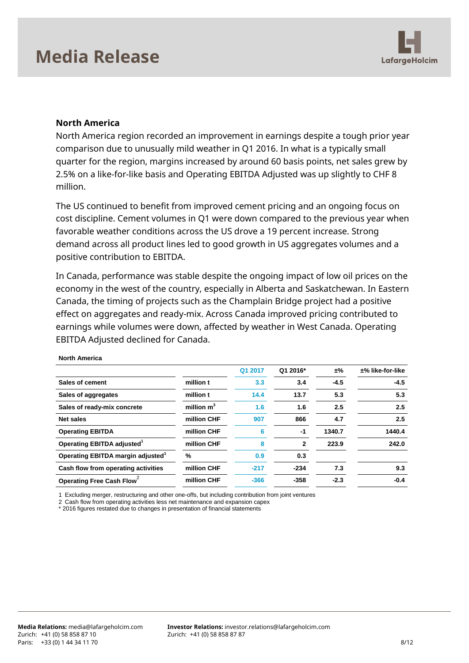

#### **North America**

North America region recorded an improvement in earnings despite a tough prior year comparison due to unusually mild weather in Q1 2016. In what is a typically small quarter for the region, margins increased by around 60 basis points, net sales grew by 2.5% on a like-for-like basis and Operating EBITDA Adjusted was up slightly to CHF 8 million.

The US continued to benefit from improved cement pricing and an ongoing focus on cost discipline. Cement volumes in Q1 were down compared to the previous year when favorable weather conditions across the US drove a 19 percent increase. Strong demand across all product lines led to good growth in US aggregates volumes and a positive contribution to EBITDA.

In Canada, performance was stable despite the ongoing impact of low oil prices on the economy in the west of the country, especially in Alberta and Saskatchewan. In Eastern Canada, the timing of projects such as the Champlain Bridge project had a positive effect on aggregates and ready-mix. Across Canada improved pricing contributed to earnings while volumes were down, affected by weather in West Canada. Operating EBITDA Adjusted declined for Canada.

| $±%$ like-for-like |
|--------------------|
| $-4.5$             |
| 5.3                |
| 2.5                |
| 2.5                |
| 1440.4             |
| 242.0              |
|                    |
| 9.3                |
| $-0.4$             |
|                    |

**North America**

1 Excluding merger, restructuring and other one-offs, but including contribution from joint ventures

2 Cash flow from operating activities less net maintenance and expansion capex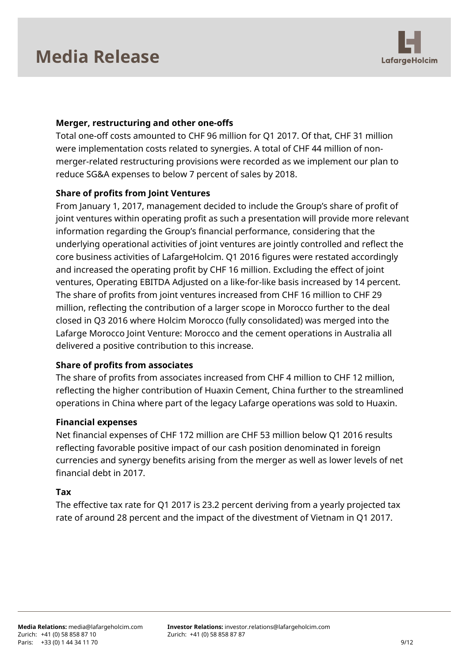

### **Merger, restructuring and other one-offs**

Total one-off costs amounted to CHF 96 million for Q1 2017. Of that, CHF 31 million were implementation costs related to synergies. A total of CHF 44 million of nonmerger-related restructuring provisions were recorded as we implement our plan to reduce SG&A expenses to below 7 percent of sales by 2018.

### **Share of profits from Joint Ventures**

From January 1, 2017, management decided to include the Group's share of profit of joint ventures within operating profit as such a presentation will provide more relevant information regarding the Group's financial performance, considering that the underlying operational activities of joint ventures are jointly controlled and reflect the core business activities of LafargeHolcim. Q1 2016 figures were restated accordingly and increased the operating profit by CHF 16 million. Excluding the effect of joint ventures, Operating EBITDA Adjusted on a like-for-like basis increased by 14 percent. The share of profits from joint ventures increased from CHF 16 million to CHF 29 million, reflecting the contribution of a larger scope in Morocco further to the deal closed in Q3 2016 where Holcim Morocco (fully consolidated) was merged into the Lafarge Morocco Joint Venture: Morocco and the cement operations in Australia all delivered a positive contribution to this increase.

### **Share of profits from associates**

The share of profits from associates increased from CHF 4 million to CHF 12 million, reflecting the higher contribution of Huaxin Cement, China further to the streamlined operations in China where part of the legacy Lafarge operations was sold to Huaxin.

#### **Financial expenses**

Net financial expenses of CHF 172 million are CHF 53 million below Q1 2016 results reflecting favorable positive impact of our cash position denominated in foreign currencies and synergy benefits arising from the merger as well as lower levels of net financial debt in 2017.

#### **Tax**

The effective tax rate for Q1 2017 is 23.2 percent deriving from a yearly projected tax rate of around 28 percent and the impact of the divestment of Vietnam in Q1 2017.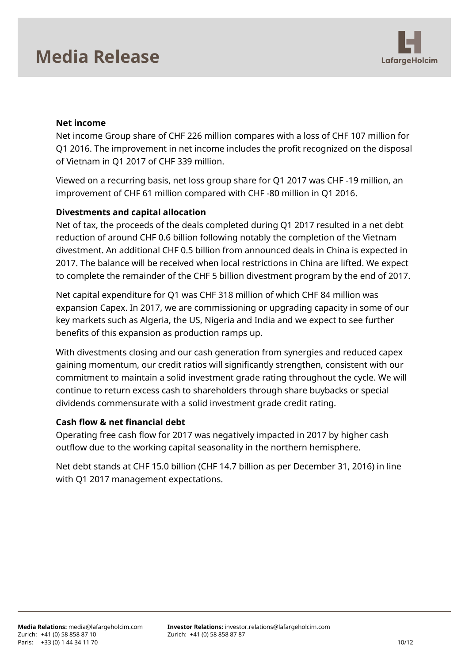

#### **Net income**

Net income Group share of CHF 226 million compares with a loss of CHF 107 million for Q1 2016. The improvement in net income includes the profit recognized on the disposal of Vietnam in Q1 2017 of CHF 339 million.

Viewed on a recurring basis, net loss group share for Q1 2017 was CHF -19 million, an improvement of CHF 61 million compared with CHF -80 million in Q1 2016.

#### **Divestments and capital allocation**

Net of tax, the proceeds of the deals completed during Q1 2017 resulted in a net debt reduction of around CHF 0.6 billion following notably the completion of the Vietnam divestment. An additional CHF 0.5 billion from announced deals in China is expected in 2017. The balance will be received when local restrictions in China are lifted. We expect to complete the remainder of the CHF 5 billion divestment program by the end of 2017.

Net capital expenditure for Q1 was CHF 318 million of which CHF 84 million was expansion Capex. In 2017, we are commissioning or upgrading capacity in some of our key markets such as Algeria, the US, Nigeria and India and we expect to see further benefits of this expansion as production ramps up.

With divestments closing and our cash generation from synergies and reduced capex gaining momentum, our credit ratios will significantly strengthen, consistent with our commitment to maintain a solid investment grade rating throughout the cycle. We will continue to return excess cash to shareholders through share buybacks or special dividends commensurate with a solid investment grade credit rating.

#### **Cash flow & net financial debt**

Operating free cash flow for 2017 was negatively impacted in 2017 by higher cash outflow due to the working capital seasonality in the northern hemisphere.

Net debt stands at CHF 15.0 billion (CHF 14.7 billion as per December 31, 2016) in line with Q1 2017 management expectations.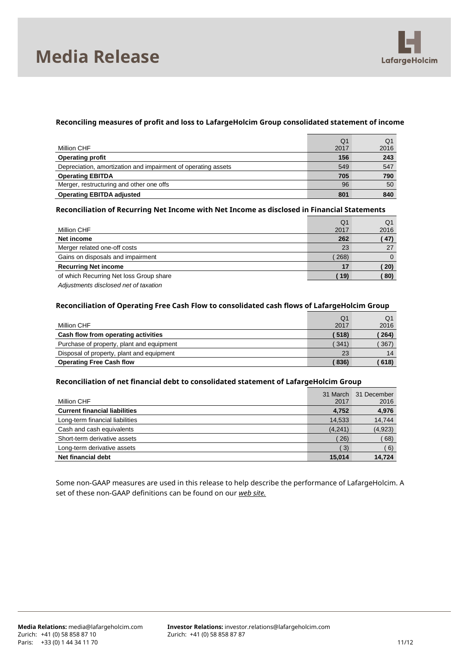



#### **Reconciling measures of profit and loss to LafargeHolcim Group consolidated statement of income**

| Million CHF                                                   | Q1<br>2017 | Q1<br>2016 |
|---------------------------------------------------------------|------------|------------|
| <b>Operating profit</b>                                       | 156        | 243        |
| Depreciation, amortization and impairment of operating assets | 549        | 547        |
| <b>Operating EBITDA</b>                                       | 705        | 790        |
| Merger, restructuring and other one offs                      | 96         | 50         |
| <b>Operating EBITDA adjusted</b>                              | 801        | 840        |

#### **Reconciliation of Recurring Net Income with Net Income as disclosed in Financial Statements**

|                                                            | O <sub>1</sub> | Q1   |
|------------------------------------------------------------|----------------|------|
| Million CHF                                                | 2017           | 2016 |
| Net income                                                 | 262            | (47) |
| Merger related one-off costs                               | 23             | 27   |
| Gains on disposals and impairment                          | 268)           | 0    |
| <b>Recurring Net income</b>                                |                | 20)  |
| of which Recurring Net loss Group share                    | 19)            | 80)  |
| A discontinuous contractions of a contract of the contract |                |      |

*Adjustments disclosed net of taxation*

#### **Reconciliation of Operating Free Cash Flow to consolidated cash flows of LafargeHolcim Group**

|                                           | Q1    | Q1   |
|-------------------------------------------|-------|------|
| Million CHF                               | 2017  | 2016 |
| Cash flow from operating activities       | (518) | 264) |
| Purchase of property, plant and equipment | 341   | 367) |
| Disposal of property, plant and equipment | 23    | 14   |
| <b>Operating Free Cash flow</b>           | 836)  | 618) |

#### **Reconciliation of net financial debt to consolidated statement of LafargeHolcim Group**

| Million CHF                          | 31 March<br>2017 | 31 December<br>2016 |
|--------------------------------------|------------------|---------------------|
| <b>Current financial liabilities</b> | 4,752            | 4,976               |
| Long-term financial liabilities      | 14,533           | 14,744              |
| Cash and cash equivalents            | (4, 241)         | (4,923)             |
| Short-term derivative assets         | 26)              | 68)                 |
| Long-term derivative assets          | 3)               | 6)                  |
| Net financial debt                   | 15.014           | 14.724              |

Some non-GAAP measures are used in this release to help describe the performance of LafargeHolcim. A set of these non-GAAP definitions can be found on our *[web site.](http://www.lafargeholcim.com/non-gaap-measures)*